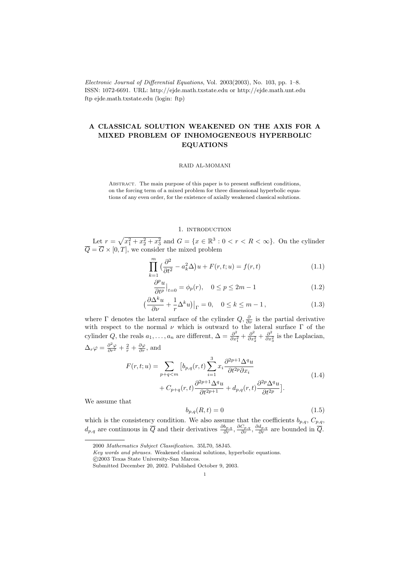Electronic Journal of Differential Equations, Vol. 2003(2003), No. 103, pp. 1–8. ISSN: 1072-6691. URL: http://ejde.math.txstate.edu or http://ejde.math.unt.edu ftp ejde.math.txstate.edu (login: ftp)

# A CLASSICAL SOLUTION WEAKENED ON THE AXIS FOR A MIXED PROBLEM OF INHOMOGENEOUS HYPERBOLIC EQUATIONS

## RAID AL-MOMANI

Abstract. The main purpose of this paper is to present sufficient conditions, on the forcing term of a mixed problem for three dimensional hyperbolic equations of any even order, for the existence of axially weakened classical solutions.

#### 1. INTRODUCTION

Let  $r = \sqrt{x_1^2 + x_2^2 + x_3^2}$  and  $G = \{x \in \mathbb{R}^3 : 0 < r < R < \infty\}$ . On the cylinder  $Q = G \times [0, T]$ , we consider the mixed problem

$$
\prod_{k=1}^{m} \left(\frac{\partial^2}{\partial t^2} - a_k^2 \Delta\right) u + F(r, t; u) = f(r, t)
$$
\n(1.1)

$$
\frac{\partial^p u}{\partial t^p}\Big|_{t=0} = \phi_p(r), \quad 0 \le p \le 2m - 1 \tag{1.2}
$$

$$
\left(\frac{\partial \Delta^k u}{\partial \nu} + \frac{1}{r} \Delta^k u\right)\big|_{\Gamma} = 0, \quad 0 \le k \le m - 1,
$$
\n(1.3)

where  $\Gamma$  denotes the lateral surface of the cylinder  $Q, \frac{\partial}{\partial \nu}$  is the partial derivative with respect to the normal  $\nu$  which is outward to the lateral surface  $\Gamma$  of the cylinder Q, the reals  $a_1, \ldots, a_n$  are different,  $\Delta = \frac{\partial^2}{\partial x^2}$  $\frac{\partial^2}{\partial x_1^2} + \frac{\partial^2}{\partial x_2^2}$  $\frac{\partial^2}{\partial x_2^2} + \frac{\partial^2}{\partial x_2^2}$  $\frac{\partial^2}{\partial x_3^2}$  is the Laplacian,  $\Delta_r \varphi = \frac{\partial^2 \varphi}{\partial r^2} + \frac{2}{r} + \frac{\partial \varphi}{\partial r}$ , and

$$
F(r,t;u) = \sum_{p+q\n(1.4)
$$

We assume that

$$
b_{p,q}(R,t) = 0\tag{1.5}
$$

which is the consistency condition. We also assume that the coefficients  $b_{p,q}, C_{p,q}$ ,  $d_{p,q}$  are continuous in  $\overline{Q}$  and their derivatives  $\frac{\partial b_{p,q}}{\partial r}, \frac{\partial c_{p,q}}{\partial r}, \frac{\partial d_{p,q}}{\partial r}$  are bounded in  $\overline{Q}$ .

<sup>2000</sup> Mathematics Subject Classification. 35L70, 58J45.

Key words and phrases. Weakened classical solutions, hyperbolic equations.

c 2003 Texas State University-San Marcos.

Submitted December 20, 2002. Published October 9, 2003.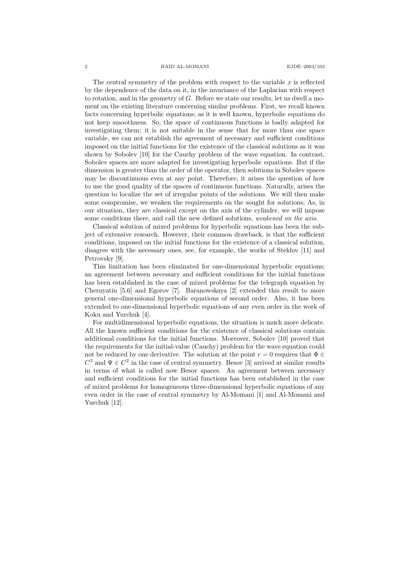#### 2 RAID AL-MOMANI EJDE–2003/103

The central symmetry of the problem with respect to the variable  $x$  is reflected by the dependence of the data on it, in the invariance of the Laplacian with respect to rotation, and in the geometry of  $G$ . Before we state our results, let us dwell a moment on the existing literature concerning similar problems. First, we recall known facts concerning hyperbolic equations; as it is well known, hyperbolic equations do not keep smoothness. So, the space of continuous functions is badly adapted for investigating them; it is not suitable in the sense that for more than one space variable, we can not establish the agreement of necessary and sufficient conditions imposed on the initial functions for the existence of the classical solutions as it was shown by Sobolev [10] for the Cauchy problem of the wave equation. In contrast, Sobolev spaces are more adapted for investigating hyperbolic equations. But if the dimension is greater than the order of the operator, then solutions in Sobolev spaces may be discontinuous even at any point. Therefore, it arises the question of how to use the good quality of the spaces of continuous functions. Naturally, arises the question to localize the set of irregular points of the solutions. We will then make some compromise, we weaken the requirements on the sought for solutions; As, in our situation, they are classical except on the axis of the cylinder, we will impose some conditions there, and call the new defined solutions, *weakened on the axis*.

Classical solution of mixed problems for hyperbolic equations has been the subject of extensive research. However, their common drawback, is that the sufficient conditions, imposed on the initial functions for the existence of a classical solution, disagree with the necessary ones, see, for example, the works of Steklov [11] and Petrovsky [9].

This limitation has been eliminated for one-dimensional hyperbolic equations; an agreement between necessary and sufficient conditions for the initial functions has been established in the case of mixed problems for the telegraph equation by Chernyatin [5,6] and Egorov [7]. Baranowskaya [2] extended this result to more general one-dimensional hyperbolic equations of second order. Also, it has been extended to one-dimensional hyperbolic equations of any even order in the work of Koku and Yurchuk [4].

For multidimensional hyperbolic equations, the situation is much more delicate. All the known sufficient conditions for the existence of classical solutions contain additional conditions for the initial functions. Moreover, Sobolev [10] proved that the requirements for the initial-value (Cauchy) problem for the wave equation could not be reduced by one derivative. The solution at the point  $r = 0$  requires that  $\Phi \in$  $C^3$  and  $\Psi \in C^2$  in the case of central symmetry. Besov [3] arrived at similar results in terms of what is called now Besov spaces. An agreement between necessary and sufficient conditions for the initial functions has been established in the case of mixed problems for homogeneous three-dimensional hyperbolic equations of any even order in the case of central symmetry by Al-Momani [1] and Al-Momani and Yurchuk [12].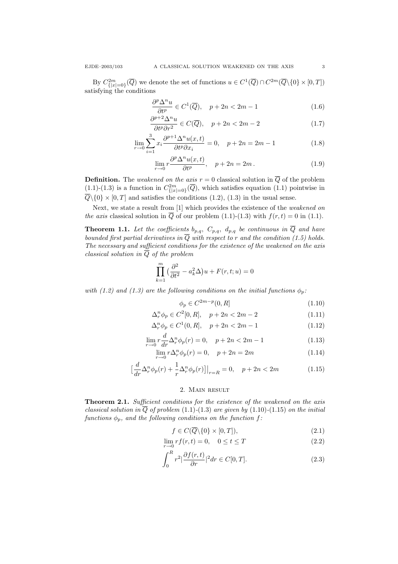By  $C^{2m}_{\{|x|=0\}}(\overline{Q})$  we denote the set of functions  $u \in C^1(\overline{Q}) \cap C^{2m}(\overline{Q} \setminus \{0\} \times [0,T])$ satisfying the conditions

$$
\frac{\partial^p \Delta^n u}{\partial t^p} \in C^1(\overline{Q}), \quad p+2n < 2m-1 \tag{1.6}
$$

$$
\frac{\partial^{p+2} \Delta^n u}{\partial t^p \partial r^2} \in C(\overline{Q}), \quad p+2n < 2m-2 \tag{1.7}
$$

$$
\lim_{r \to 0} \sum_{i=1}^{3} x_i \frac{\partial^{p+1} \Delta^n u(x,t)}{\partial t^p \partial x_i} = 0, \quad p + 2n = 2m - 1
$$
\n(1.8)

$$
\lim_{r \to 0} r \frac{\partial^p \Delta^n u(x, t)}{\partial t^p}, \quad p + 2n = 2m. \tag{1.9}
$$

**Definition.** The weakened on the axis  $r = 0$  classical solution in  $\overline{Q}$  of the problem  $(1.1)-(1.3)$  is a function in  $C^{2m}_{\{|x|=0\}}(\overline{Q})$ , which satisfies equation  $(1.1)$  pointwise in  $\overline{Q} \setminus \{0\} \times [0, T]$  and satisfies the conditions (1.2), (1.3) in the usual sense.

Next, we state a result from [1] which provides the existence of the weakened on the axis classical solution in  $\overline{Q}$  of our problem (1.1)-(1.3) with  $f(r, t) = 0$  in (1.1).

**Theorem 1.1.** Let the coefficients  $b_{p,q}$ ,  $C_{p,q}$ ,  $d_{p,q}$  be continuous in  $\overline{Q}$  and have bounded first partial derivatives in  $\overline{Q}$  with respect to r and the condition (1.5) holds. The necessary and sufficient conditions for the existence of the weakened on the axis classical solution in  $\overline{Q}$  of the problem

$$
\prod_{k=1}^{m} \left( \frac{\partial^2}{\partial t^2} - a_k^2 \Delta \right) u + F(r, t; u) = 0
$$

with (1.2) and (1.3) are the following conditions on the initial functions  $\phi_p$ :

$$
\phi_p \in C^{2m-p}(0, R] \tag{1.10}
$$

$$
\Delta_r^n \phi_p \in C^2[0, R], \quad p + 2n < 2m - 2 \tag{1.11}
$$

$$
\Delta_r^n \phi_p \in C^1(0, R], \quad p + 2n < 2m - 1 \tag{1.12}
$$

$$
\lim_{r \to 0} r \frac{a}{dr} \Delta_r^n \phi_p(r) = 0, \quad p + 2n < 2m - 1
$$
\n(1.13)

$$
\lim_{r \to 0} r \Delta_r^n \phi_p(r) = 0, \quad p + 2n = 2m \tag{1.14}
$$

$$
\left[\frac{d}{dr}\Delta_r^n\phi_p(r) + \frac{1}{r}\Delta_r^n\phi_p(r)\right]\Big|_{r=R} = 0, \quad p+2n < 2m \tag{1.15}
$$

## 2. Main result

Theorem 2.1. Sufficient conditions for the existence of the weakened on the axis classical solution in  $\overline{Q}$  of problem (1.1)-(1.3) are given by (1.10)-(1.15) on the initial functions  $\phi_p$ , and the following conditions on the function f:

$$
f \in C(\overline{Q} \backslash \{0\} \times [0, T]),\tag{2.1}
$$

$$
\lim_{r \to 0} r f(r, t) = 0, \quad 0 \le t \le T \tag{2.2}
$$

$$
\int_0^R r^2 \left| \frac{\partial f(r,t)}{\partial r} \right|^2 dr \in C[0,T].
$$
\n(2.3)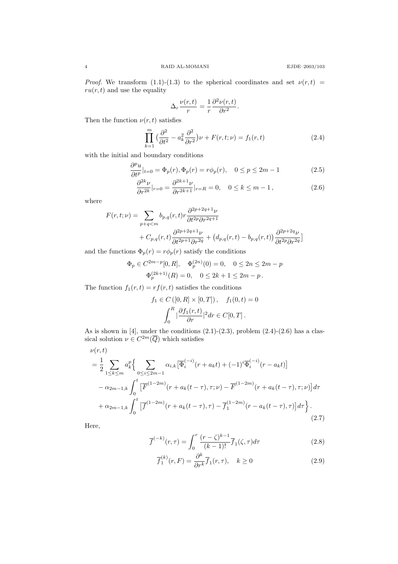*Proof.* We transform (1.1)-(1.3) to the spherical coordinates and set  $\nu(r, t)$  =  $ru(r, t)$  and use the equality

$$
\Delta_r \frac{\nu(r,t)}{r} = \frac{1}{r} \frac{\partial^2 \nu(r,t)}{\partial r^2}.
$$

Then the function  $\nu(r, t)$  satisfies

$$
\prod_{k=1}^{m} \left(\frac{\partial^2}{\partial t^2} - a_k^2 \frac{\partial^2}{\partial r^2}\right) \nu + F(r, t; \nu) = f_1(r, t)
$$
\n(2.4)

with the initial and boundary conditions

$$
\frac{\partial^p u}{\partial t^p}|_{t=0} = \Phi_p(r), \Phi_p(r) = r\phi_p(r), \quad 0 \le p \le 2m - 1
$$
\n(2.5)

$$
\frac{\partial^{2k}\nu}{\partial r^{2k}}|_{r=0} = \frac{\partial^{2k+1}\nu}{\partial r^{2k+1}}|_{r=R} = 0, \quad 0 \le k \le m-1,
$$
\n(2.6)

where

$$
F(r,t;\nu) = \sum_{p+q
$$

and the functions  $\Phi_p(r) = r\phi_p(r)$  satisfy the conditions

$$
\Phi_p \in C^{2m-p}[0, R], \quad \Phi_p^{(2n)}(0) = 0, \quad 0 \le 2n \le 2m - p
$$
  

$$
\Phi_p^{(2k+1)}(R) = 0, \quad 0 \le 2k + 1 \le 2m - p.
$$

The function  $f_1(r, t) = rf(r, t)$  satisfies the conditions

$$
f_1 \in C([0, R] \times [0, T]), \quad f_1(0, t) = 0
$$

$$
\int_0^R \left| \frac{\partial f_1(r, t)}{\partial r} \right|^2 dr \in C[0, T].
$$

As is shown in  $[4]$ , under the conditions  $(2.1)-(2.3)$ , problem  $(2.4)-(2.6)$  has a classical solution  $\nu \in C^{2m}(\overline{Q})$  which satisfies

$$
\nu(r,t) = \frac{1}{2} \sum_{1 \le k \le m} a_k^p \Big\{ \sum_{0 \le i \le 2m-1} \alpha_{i,k} \big[ \overline{\Phi}_i^{(-i)}(r + a_k t) + (-1)^i \overline{\Phi}_i^{(-i)}(r - a_k t) \big] - \alpha_{2m-1,k} \int_0^t \big[ \overline{F}^{(1-2m)}(r + a_k (t - \tau), \tau; \nu) - \overline{F}^{(1-2m)}(r + a_k (t - \tau), \tau; \nu) \big] d\tau + \alpha_{2m-1,k} \int_0^t \big[ \overline{f}^{(1-2m)}(r + a_k (t - \tau), \tau) - \overline{f}_1^{(1-2m)}(r - a_k (t - \tau), \tau) \big] d\tau \Big\} . \tag{2.7}
$$

Here,

$$
\overline{f}^{(-k)}(r,\tau) = \int_0^r \frac{(r-\zeta)^{k-1}}{(k-1)!} \overline{f}_1(\zeta,\tau) d\tau
$$
\n(2.8)

$$
\overline{f}_1^{(k)}(r,F) = \frac{\partial^k}{\partial r^k} \overline{f}_1(r,\tau), \quad k \ge 0
$$
\n(2.9)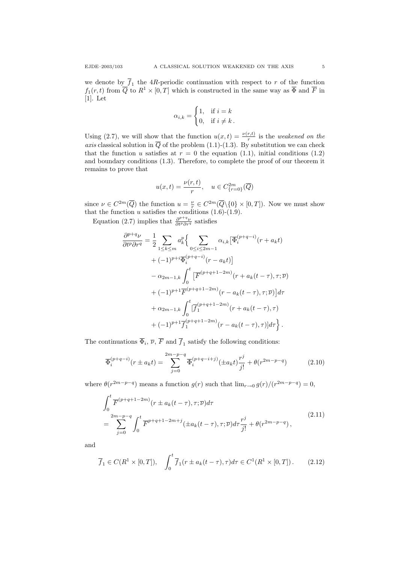we denote by  $f_1$  the 4R-periodic continuation with respect to r of the function  $f_1(r, t)$  from  $\overline{Q}$  to  $R^1 \times [0, T]$  which is constructed in the same way as  $\overline{\Phi}$  and  $\overline{F}$  in [1]. Let

$$
\alpha_{i,k} = \begin{cases} 1, & \text{if } i = k \\ 0, & \text{if } i \neq k \end{cases}
$$

Using (2.7), we will show that the function  $u(x,t) = \frac{\nu(r,t)}{r}$  is the *weakened on the* axis classical solution in Q of the problem  $(1.1)-(1.3)$ . By substitution we can check that the function u satisfies at  $r = 0$  the equation (1.1), initial conditions (1.2) and boundary conditions (1.3). Therefore, to complete the proof of our theorem it remains to prove that

$$
u(x,t)=\frac{\nu(r,t)}{r},\quad u\in C_{\{r=0\}}^{2m}(\overline{Q})
$$

since  $\nu \in C^{2m}(\overline{Q})$  the function  $u = \frac{\nu}{r} \in C^{2m}(\overline{Q} \setminus \{0\} \times [0,T])$ . Now we must show that the function u satisfies the conditions  $(1.6)-(1.9)$ .

Equation (2.7) implies that  $\frac{\partial^{p+q} \nu}{\partial t^p \partial r^q}$  satisfies

$$
\frac{\partial^{p+q}\nu}{\partial t^p \partial r^q} = \frac{1}{2} \sum_{1 \le k \le m} a_k^p \Big\{ \sum_{0 \le i \le 2m-1} \alpha_{i,k} \big[ \overline{\Phi}_i^{(p+q-i)}(r + a_k t) + (-1)^{p+i} \overline{\Phi}_i^{(p+q-i)}(r - a_k t) \big] \n- \alpha_{2m-1,k} \int_0^t \big[ \overline{F}^{(p+q+1-2m)}(r + a_k(t-\tau), \tau; \overline{\nu}) + (-1)^{p+1} \overline{F}^{(p+q+1-2m)}(r - a_k(t-\tau), \tau; \overline{\nu}) \big] d\tau \n+ \alpha_{2m-1,k} \int_0^t \big[ \overline{f}_1^{(p+q+1-2m)}(r + a_k(t-\tau), \tau) + (-1)^{p+1} \overline{f}_1^{(p+q+1-2m)}(r - a_k(t-\tau), \tau) \big] d\tau \Big\} .
$$

The continuations  $\Phi_i$ ,  $\overline{\nu}$ ,  $F$  and  $f_1$  satisfy the following conditions:

$$
\overline{\Phi}_{i}^{(p+q-i)}(r \pm a_{k}t) = \sum_{j=0}^{2m-p-q} \overline{\Phi}_{i}^{(p+q-i+j)}(\pm a_{k}t) \frac{r^{j}}{j!} + \theta(r^{2m-p-q})
$$
(2.10)

where  $\theta(r^{2m-p-q})$  means a function  $g(r)$  such that  $\lim_{r\to 0} g(r)/(r^{2m-p-q})=0$ ,

$$
\int_{0}^{t} \overline{F}^{(p+q+1-2m)}(r \pm a_{k}(t-\tau), \tau; \overline{\nu}) d\tau\n= \sum_{j=0}^{2m-p-q} \int_{0}^{t} \overline{F}^{p+q+1-2m+j}(\pm a_{k}(t-\tau), \tau; \overline{\nu}) d\tau \frac{r^{j}}{j!} + \theta(r^{2m-p-q}),
$$
\n(2.11)

and

$$
\overline{f}_1 \in C(R^1 \times [0,T]), \quad \int_0^t \overline{f}_1(r \pm a_k(t-\tau), \tau) d\tau \in C^1(R^1 \times [0,T]). \tag{2.12}
$$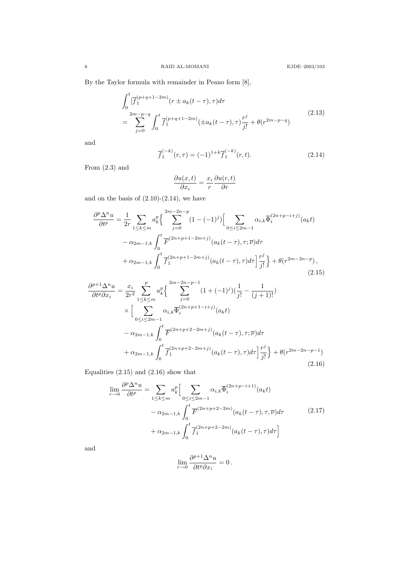By the Taylor formula with remainder in Peano form [8],

$$
\int_{0}^{t} \left[\overline{f}_{1}^{(p+q+1-2m)}(r \pm a_{k}(t-\tau),\tau)d\tau\right] \newline = \sum_{j=0}^{2m-p-q} \int_{0}^{t} \overline{f}_{1}^{(p+q+1-2m)}(\pm a_{k}(t-\tau),\tau)\frac{r^{j}}{j!} + \theta(r^{2m-p-q})
$$
\n(2.13)

and

$$
\overline{f}_1^{(-k)}(r,\tau) = (-1)^{1+k} \overline{f}_1^{(-k)}(r,t).
$$
\n(2.14)

From (2.3) and

$$
\frac{\partial u(x,t)}{\partial x_i} = \frac{x_i}{r} \frac{\partial u(r,t)}{\partial r}
$$

and on the basis of  $(2.10)-(2.14)$ , we have

$$
\frac{\partial^p \Delta^n u}{\partial t^p} = \frac{1}{2r} \sum_{1 \le k \le m} a_k^p \left\{ \sum_{j=0}^{2m-2n-p} (1 - (-1)^j) \Big[ \sum_{0 \le i \le 2m-1} \alpha_{i,k} \overline{\Phi}_i^{(2n+p-i+j)}(a_k t) - \alpha_{2m-1,k} \int_0^t \overline{F}^{(2n+p+1-2m+j)}(a_k(t-\tau), \tau; \overline{\nu}) d\tau + \alpha_{2m-1,k} \int_0^t \overline{f}_1^{(2n+p+1-2m+j)}(a_k(t-\tau), \tau) d\tau \Big] \frac{r^j}{j!} \right\} + \theta(r^{2m-2n-p}),
$$
\n(2.15)

$$
\frac{\partial^{p+1}\Delta^{n}u}{\partial t^{p}\partial x_{i}} = \frac{x_{i}}{2r^{2}}\sum_{1\leq k\leq m}^{p} a_{k}^{p} \Big\{\sum_{j=0}^{2m-p-1} (1+(-1)^{j})(\frac{1}{j!} - \frac{1}{(j+1)!})
$$
\n
$$
\times \Big[\sum_{0\leq i\leq 2m-1} \alpha_{i,k} \overline{\Phi}_{i}^{(2n+p+1-i+j)}(a_{k}t) -\alpha_{2m-1,k} \int_{0}^{t} \overline{F}^{(2n+p+2-2m+j)}(a_{k}(t-\tau),\tau;\overline{\nu}) d\tau +\alpha_{2m-1,k} \int_{0}^{t} \overline{f}_{1}^{(2n+p+2-2m+j)}(a_{k}(t-\tau),\tau) d\tau \Big\} \frac{r^{j}}{j!} + \theta(r^{2m-2n-p-1}) \tag{2.16}
$$

Equalities  $(2.15)$  and  $(2.16)$  show that

$$
\lim_{r \to 0} \frac{\partial^p \Delta^n u}{\partial t^p} = \sum_{1 \le k \le m} a_k^p \Big[ \sum_{0 \le i \le 2m-1} \alpha_{i,k} \overline{\Phi}_i^{(2n+p-i+1)}(a_k t) - \alpha_{2m-1,k} \int_0^t \overline{F}^{(2n+p+2-2m)}(a_k(t-\tau), \tau, \overline{\nu}) d\tau + \alpha_{2m-1,k} \int_0^t \overline{f}_1^{(2n+p+2-2m)}(a_k(t-\tau), \tau) d\tau \Big]
$$
\n(2.17)

and

$$
\lim_{r \to 0} \frac{\partial^{p+1} \Delta^n u}{\partial t^p \partial x_i} = 0.
$$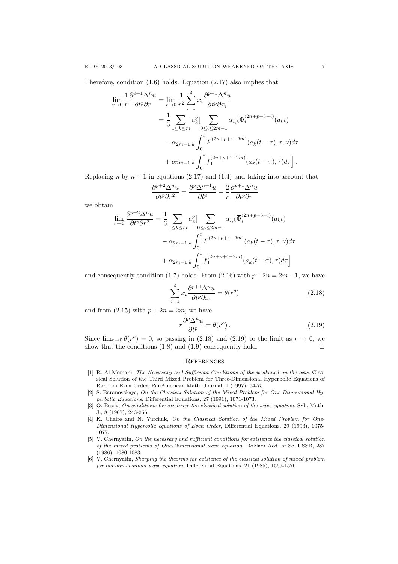Therefore, condition (1.6) holds. Equation (2.17) also implies that

$$
\lim_{r \to 0} \frac{1}{r} \frac{\partial^{p+1} \Delta^n u}{\partial t^p \partial r} = \lim_{r \to 0} \frac{1}{r^2} \sum_{i=1}^3 x_i \frac{\partial^{p+1} \Delta^n u}{\partial t^p \partial x_i}
$$
  
=  $\frac{1}{3} \sum_{1 \le k \le m} a_k^p \Biggl[ \sum_{0 \le i \le 2m-1} \alpha_{i,k} \overline{\Phi}_i^{(2n+p+3-i)}(a_k t) -\alpha_{2m-1,k} \int_0^t \overline{F}^{(2n+p+4-2m)}(a_k(t-\tau), \tau, \overline{\nu}) d\tau$   
+  $\alpha_{2m-1,k} \int_0^t \overline{f}_1^{(2n+p+4-2m)}(a_k(t-\tau), \tau) d\tau \Biggr].$ 

Replacing n by  $n + 1$  in equations (2.17) and (1.4) and taking into account that

$$
\frac{\partial^{p+2} \Delta^n u}{\partial t^p \partial r^2} = \frac{\partial^p \Delta^{n+1} u}{\partial t^p} - \frac{2}{r} \frac{\partial^{p+1} \Delta^n u}{\partial t^p \partial r}
$$

we obtain

$$
\lim_{r \to 0} \frac{\partial^{p+2} \Delta^n u}{\partial t^p \partial r^2} = \frac{1}{3} \sum_{1 \le k \le m} a_k^p \Biggl[ \sum_{0 \le i \le 2m-1} \alpha_{i,k} \overline{\Phi}_i^{(2n+p+3-i)}(a_k t) -\alpha_{2m-1,k} \int_0^t \overline{F}^{(2n+p+4-2m)}(a_k(t-\tau), \tau, \overline{\nu}) d\tau + \alpha_{2m-1,k} \int_0^t \overline{f}_1^{(2n+p+4-2m)}(a_k(t-\tau), \tau) d\tau \Biggr]
$$

and consequently condition (1.7) holds. From (2.16) with  $p+2n = 2m-1$ , we have

$$
\sum_{i=1}^{3} x_i \frac{\partial^{p+1} \Delta^n u}{\partial t^p \partial x_i} = \theta(r^o)
$$
\n(2.18)

and from  $(2.15)$  with  $p + 2n = 2m$ , we have

$$
r\frac{\partial^p \Delta^n u}{\partial t^p} = \theta(r^o). \tag{2.19}
$$

Since  $\lim_{r\to 0} \theta(r^{\circ}) = 0$ , so passing in (2.18) and (2.19) to the limit as  $r \to 0$ , we show that the conditions (1.8) and (1.9) consequently hold.  $\square$ 

## **REFERENCES**

- [1] R. Al-Momani, The Necessary and Sufficient Conditions of the weakened on the axis. Classical Solution of the Third Mixed Problem for Three-Dimensional Hyperbolic Equations of Random Even Order, PanAmerican Math. Journal, 1 (1997), 64-75.
- [2] S. Baranovskaya, On the Classical Solution of the Mixed Problem for One-Dimensional Hyperbolic Equations, Differential Equations, 27 (1991), 1071-1073.
- [3] O. Besov, On conditions for existence the classical solution of the wave equation, Syb. Math. J., 8 (1967), 243-256.
- [4] K. Chaire and N. Yurchuk, On the Classical Solution of the Mixed Problem for One-Dimensional Hyperbolic equations of Even Order, Differential Equations, 29 (1993), 1075- 1077.
- [5] V. Chernyatin, On the necessary and sufficient conditions for existence the classical solution of the mixed problems of One-Dimensional wave equation, Dokladi Acd. of Sc. USSR, 287 (1986), 1080-1083.
- [6] V. Chernyatin, Sharping the theorms for existence of the classical solution of mixed problem for one-dimensional wave equation, Differential Equations, 21 (1985), 1569-1576.